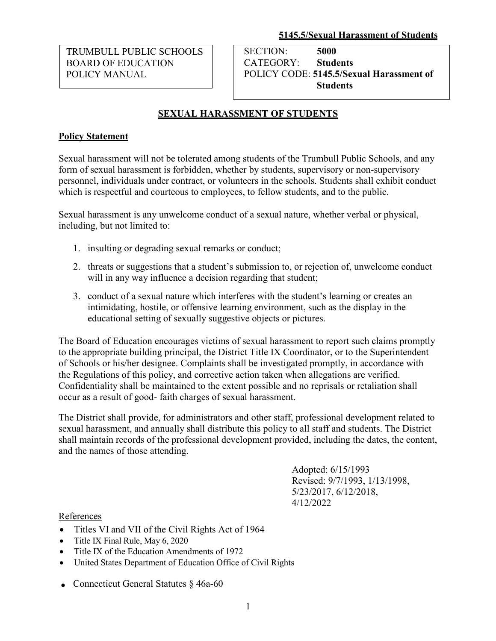TRUMBULL PUBLIC SCHOOLS BOARD OF EDUCATION POLICY MANUAL

SECTION: **5000**  CATEGORY: **Students** POLICY CODE: **5145.5/Sexual Harassment of Students**

# **SEXUAL HARASSMENT OF STUDENTS**

### **Policy Statement**

Sexual harassment will not be tolerated among students of the Trumbull Public Schools, and any form of sexual harassment is forbidden, whether by students, supervisory or non-supervisory personnel, individuals under contract, or volunteers in the schools. Students shall exhibit conduct which is respectful and courteous to employees, to fellow students, and to the public.

Sexual harassment is any unwelcome conduct of a sexual nature, whether verbal or physical, including, but not limited to:

- 1. insulting or degrading sexual remarks or conduct;
- 2. threats or suggestions that a student's submission to, or rejection of, unwelcome conduct will in any way influence a decision regarding that student;
- conduct of a sexual nature which interferes with the student's learning or creates an 3. intimidating, hostile, or offensive learning environment, such as the display in the educational setting of sexually suggestive objects or pictures.

The Board of Education encourages victims of sexual harassment to report such claims promptly to the appropriate building principal, the District Title IX Coordinator, or to the Superintendent of Schools or his/her designee. Complaints shall be investigated promptly, in accordance with the Regulations of this policy, and corrective action taken when allegations are verified. Confidentiality shall be maintained to the extent possible and no reprisals or retaliation shall occur as a result of good- faith charges of sexual harassment.

The District shall provide, for administrators and other staff, professional development related to sexual harassment, and annually shall distribute this policy to all staff and students. The District shall maintain records of the professional development provided, including the dates, the content, and the names of those attending.

> Adopted: 6/15/1993 Revised: 9/7/1993, 1/13/1998, 5/23/2017, 6/12/2018, 4/12/2022

#### References

- Titles VI and VII of the Civil Rights Act of 1964
- Title IX Final Rule, May 6, 2020
- Title IX of the Education Amendments of 1972
- United States Department of Education Office of Civil Rights
- Connecticut General Statutes § 46a-60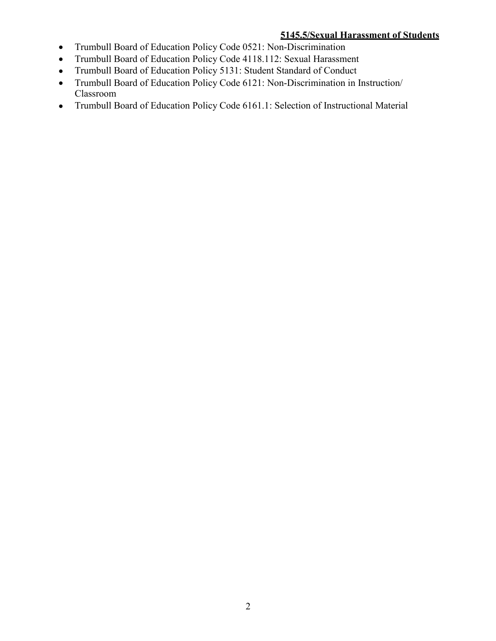#### **5145.5/Sexual Harassment of Students**

- Trumbull Board of Education Policy Code 0521: Non-Discrimination  $\bullet$
- Trumbull Board of Education Policy Code 4118.112: Sexual Harassment •
- Trumbull Board of Education Policy 5131: Student Standard of Conduct  $\bullet$
- Trumbull Board of Education Policy Code 6121: Non-Discrimination in Instruction/ Classroom •
- Trumbull Board of Education Policy Code 6161.1: Selection of Instructional Material  $\bullet$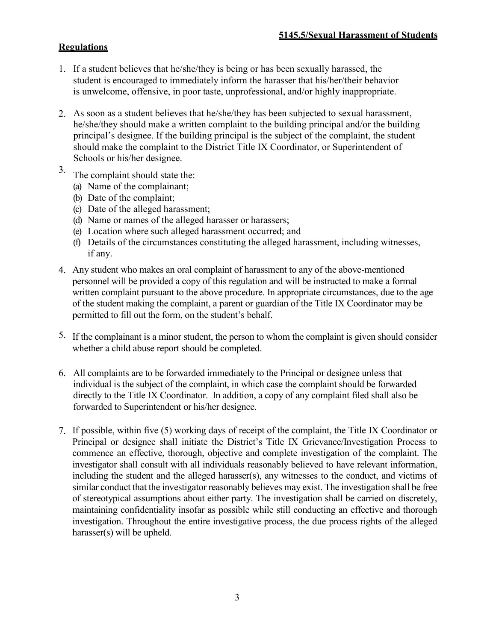## **Regulations**

- 1. If a student believes that he/she/they is being or has been sexually harassed, the student is encouraged to immediately inform the harasser that his/her/their behavior is unwelcome, offensive, in poor taste, unprofessional, and/or highly inappropriate.
- 2. As soon as a student believes that he/she/they has been subjected to sexual harassment, he/she/they should make a written complaint to the building principal and/or the building principal's designee. If the building principal is the subject of the complaint, the student should make the complaint to the District Title IX Coordinator, or Superintendent of Schools or his/her designee.
- 3. The complaint should state the:
	- (a) Name of the complainant;
	- (b) Date of the complaint;
	- (c) Date of the alleged harassment;
	- (d) Name or names of the alleged harasser or harassers;
	- (e) Location where such alleged harassment occurred; and
	- (f) Details of the circumstances constituting the alleged harassment, including witnesses, if any.
- 4. Any student who makes an oral complaint of harassment to any of the above-mentioned personnel will be provided a copy of this regulation and will be instructed to make a formal written complaint pursuant to the above procedure. In appropriate circumstances, due to the age of the student making the complaint, a parent or guardian of the Title IX Coordinator may be permitted to fill out the form, on the student's behalf.
- 5. If the complainant is a minor student, the person to whom the complaint is given should consider whether a child abuse report should be completed.
- 6. All complaints are to be forwarded immediately to the Principal or designee unless that individual is the subject of the complaint, in which case the complaint should be forwarded directly to the Title IX Coordinator. In addition, a copy of any complaint filed shall also be forwarded to Superintendent or his/her designee.
- 7. If possible, within five (5) working days of receipt of the complaint, the Title IX Coordinator or Principal or designee shall initiate the District's Title IX Grievance/Investigation Process to commence an effective, thorough, objective and complete investigation of the complaint. The investigator shall consult with all individuals reasonably believed to have relevant information, including the student and the alleged harasser(s), any witnesses to the conduct, and victims of similar conduct that the investigator reasonably believes may exist. The investigation shall be free of stereotypical assumptions about either party. The investigation shall be carried on discretely, maintaining confidentiality insofar as possible while still conducting an effective and thorough investigation. Throughout the entire investigative process, the due process rights of the alleged harasser(s) will be upheld.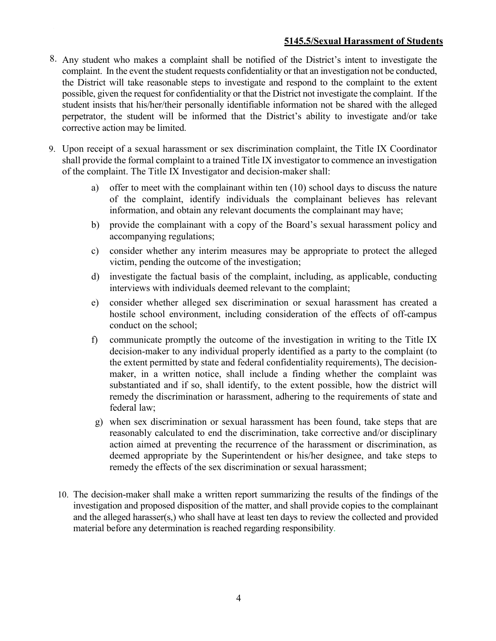#### **5145.5/Sexual Harassment of Students**

- 8. Any student who makes a complaint shall be notified of the District's intent to investigate the complaint. In the event the student requests confidentiality or that an investigation not be conducted, the District will take reasonable steps to investigate and respond to the complaint to the extent possible, given the request for confidentiality or that the District not investigate the complaint. If the student insists that his/her/their personally identifiable information not be shared with the alleged perpetrator, the student will be informed that the District's ability to investigate and/or take corrective action may be limited.
- 9. Upon receipt of a sexual harassment or sex discrimination complaint, the Title IX Coordinator shall provide the formal complaint to a trained Title IX investigator to commence an investigation of the complaint. The Title IX Investigator and decision-maker shall:
	- a) offer to meet with the complainant within ten (10) school days to discuss the nature of the complaint, identify individuals the complainant believes has relevant information, and obtain any relevant documents the complainant may have;
	- b) provide the complainant with a copy of the Board's sexual harassment policy and accompanying regulations;
	- c) consider whether any interim measures may be appropriate to protect the alleged victim, pending the outcome of the investigation;
	- d) investigate the factual basis of the complaint, including, as applicable, conducting interviews with individuals deemed relevant to the complaint;
	- e) consider whether alleged sex discrimination or sexual harassment has created a hostile school environment, including consideration of the effects of off-campus conduct on the school;
	- f) communicate promptly the outcome of the investigation in writing to the Title IX decision-maker to any individual properly identified as a party to the complaint (to the extent permitted by state and federal confidentiality requirements), The decisionmaker, in a written notice, shall include a finding whether the complaint was substantiated and if so, shall identify, to the extent possible, how the district will remedy the discrimination or harassment, adhering to the requirements of state and federal law;
	- g) when sex discrimination or sexual harassment has been found, take steps that are reasonably calculated to end the discrimination, take corrective and/or disciplinary action aimed at preventing the recurrence of the harassment or discrimination, as deemed appropriate by the Superintendent or his/her designee, and take steps to remedy the effects of the sex discrimination or sexual harassment;
	- 10. The decision-maker shall make a written report summarizing the results of the findings of the investigation and proposed disposition of the matter, and shall provide copies to the complainant and the alleged harasser(s,) who shall have at least ten days to review the collected and provided material before any determination is reached regarding responsibility.